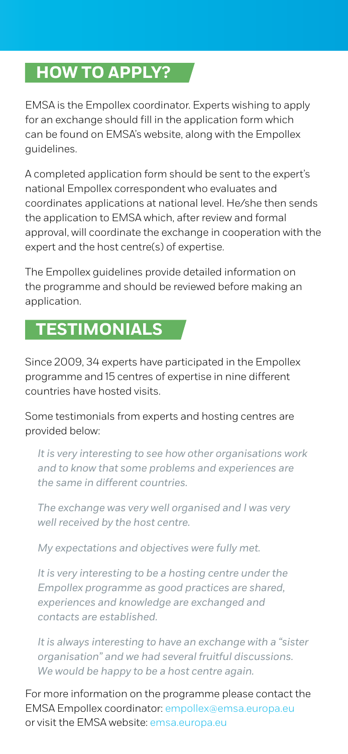### **HOW TO APPLY?**

EMSA is the Empollex coordinator. Experts wishing to apply for an exchange should fill in the application form which can be found on EMSA's website, along with the Empollex guidelines.

A completed application form should be sent to the expert's national Empollex correspondent who evaluates and coordinates applications at national level. He/she then sends the application to EMSA which, after review and formal approval, will coordinate the exchange in cooperation with the expert and the host centre(s) of expertise.

The Empollex guidelines provide detailed information on the programme and should be reviewed before making an application.

# **TESTIMONIALS**

Since 2009, 34 experts have participated in the Empollex programme and 15 centres of expertise in nine different countries have hosted visits.

Some testimonials from experts and hosting centres are provided below:

*It is very interesting to see how other organisations work and to know that some problems and experiences are the same in different countries.*

*The exchange was very well organised and I was very well received by the host centre.*

*My expectations and objectives were fully met.*

*It is very interesting to be a hosting centre under the Empollex programme as good practices are shared, experiences and knowledge are exchanged and contacts are established.*

*It is always interesting to have an exchange with a "sister organisation" and we had several fruitful discussions. We would be happy to be a host centre again.*

For more information on the programme please contact the EMSA Empollex coordinator: empollex@emsa.europa.eu or visit the EMSA website: emsa europa eu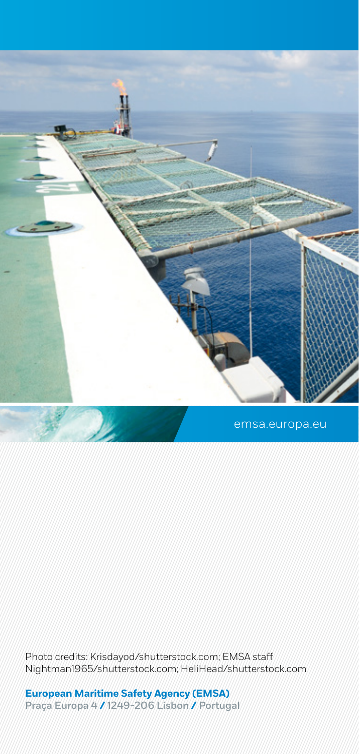

Photo credits: Krisdayod/shutterstock.com; EMSA staff Nightman1965/shutterstock.com; HeliHead/shutterstock.com

**European Maritime Safety Agency (EMSA)**  Praça Europa 4 **/** 1249-206 Lisbon **/** Portugal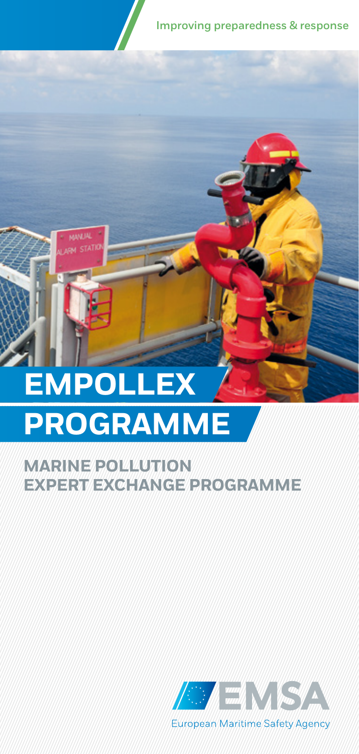Improving preparedness & response

# **EMPOLLEX PROGRAMME EMPOLLEX**

**MANUAL** ON STATION

### **MARINE POLLUTION EXPERT EXCHANGE PROGRAMME**

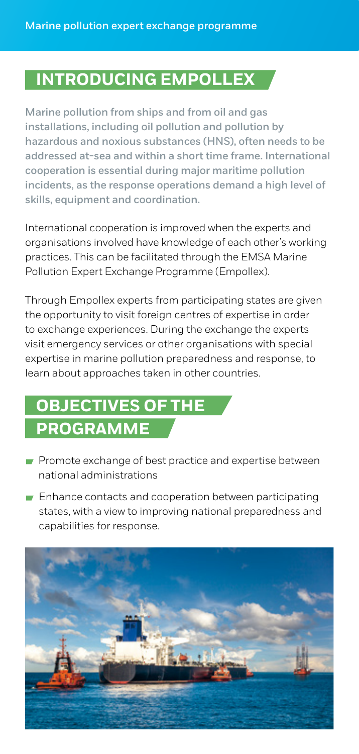### **INTRODUCING EMPOLLEX**

Marine pollution from ships and from oil and gas installations, including oil pollution and pollution by hazardous and noxious substances (HNS), often needs to be addressed at-sea and within a short time frame. International cooperation is essential during major maritime pollution incidents, as the response operations demand a high level of skills, equipment and coordination.

International cooperation is improved when the experts and organisations involved have knowledge of each other's working practices. This can be facilitated through the EMSA Marine Pollution Expert Exchange Programme (Empollex).

Through Empollex experts from participating states are given the opportunity to visit foreign centres of expertise in order to exchange experiences. During the exchange the experts visit emergency services or other organisations with special expertise in marine pollution preparedness and response, to learn about approaches taken in other countries.

# **OBJECTIVES OF THE PROGRAMME**

- Promote exchange of best practice and expertise between national administrations
- **Enhance contacts and cooperation between participating** states, with a view to improving national preparedness and capabilities for response.

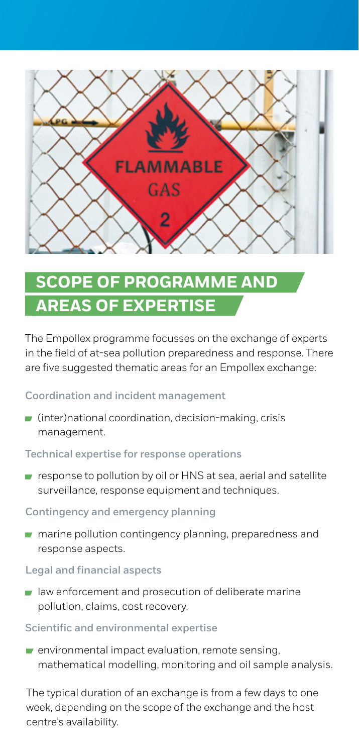

# **SCOPE OF PROGRAMME AND AREAS OF EXPERTISE**

The Empollex programme focusses on the exchange of experts in the field of at-sea pollution preparedness and response. There are five suggested thematic areas for an Empollex exchange:

#### Coordination and incident management

 $\blacksquare$  (inter)national coordination, decision-making, crisis management.

#### Technical expertise for response operations

response to pollution by oil or HNS at sea, aerial and satellite surveillance, response equipment and techniques.

#### Contingency and emergency planning

 $\blacksquare$  marine pollution contingency planning, preparedness and response aspects.

#### Legal and financial aspects

 $\blacksquare$  law enforcement and prosecution of deliberate marine pollution, claims, cost recovery.

#### Scientific and environmental expertise

 $\blacksquare$  environmental impact evaluation, remote sensing, mathematical modelling, monitoring and oil sample analysis.

The typical duration of an exchange is from a few days to one week, depending on the scope of the exchange and the host centre's availability.